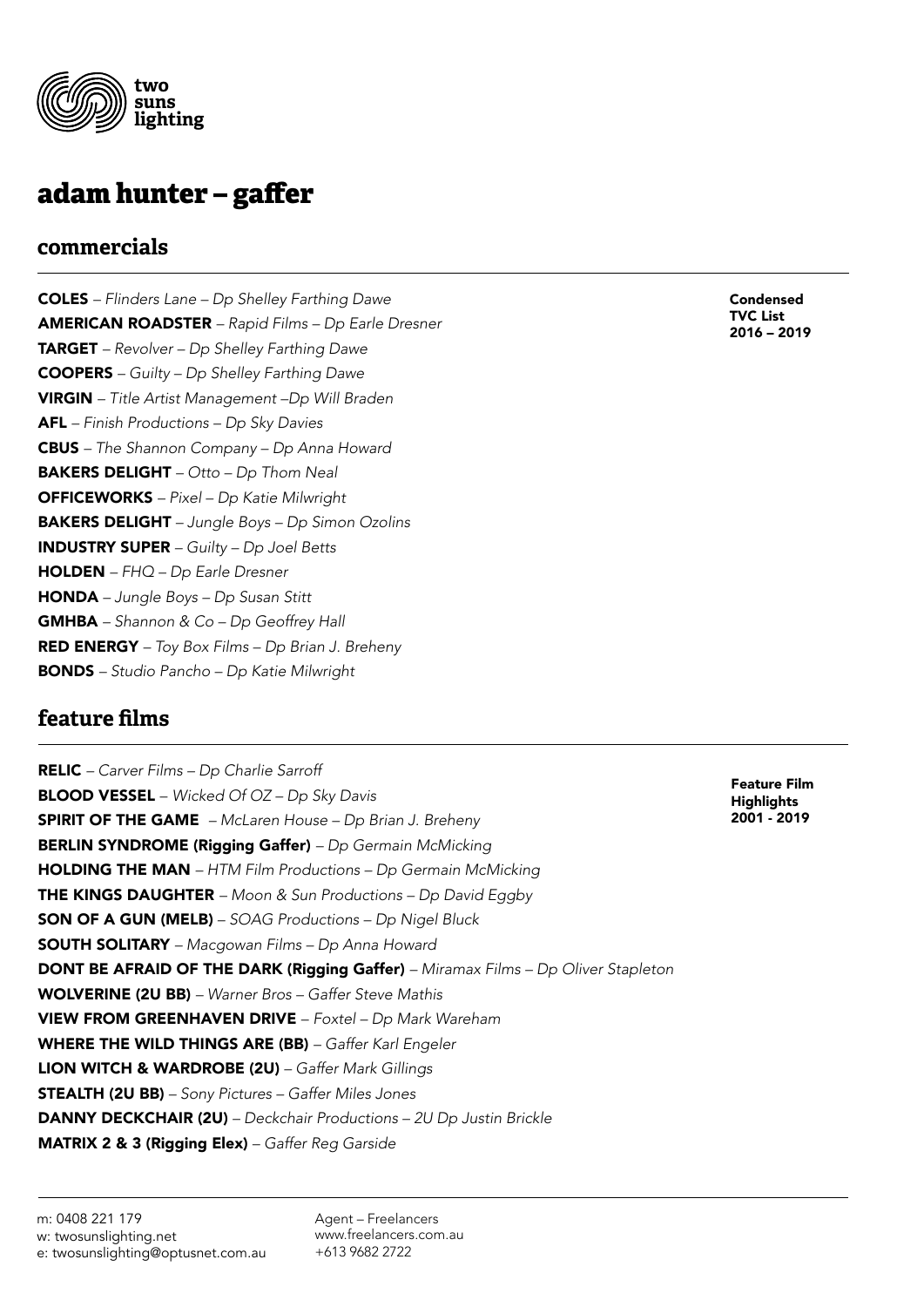

# **adam hunter – gaffer**

#### **commercials**

COLES *– Flinders Lane – Dp Shelley Farthing Dawe* AMERICAN ROADSTER *– Rapid Films – Dp Earle Dresner* TARGET *– Revolver – Dp Shelley Farthing Dawe* COOPERS *– Guilty – Dp Shelley Farthing Dawe* VIRGIN *– Title Artist Management –Dp Will Braden* AFL *– Finish Productions – Dp Sky Davies* CBUS *– The Shannon Company – Dp Anna Howard* BAKERS DELIGHT *– Otto – Dp Thom Neal* OFFICEWORKS *– Pixel – Dp Katie Milwright* BAKERS DELIGHT *– Jungle Boys – Dp Simon Ozolins* INDUSTRY SUPER *– Guilty – Dp Joel Betts* HOLDEN *– FHQ – Dp Earle Dresner* HONDA *– Jungle Boys – Dp Susan Stitt* GMHBA *– Shannon & Co – Dp Geoffrey Hall* RED ENERGY *– Toy Box Films – Dp Brian J. Breheny* BONDS *– Studio Pancho – Dp Katie Milwright*

#### **feature films**

RELIC *– Carver Films – Dp Charlie Sarroff* BLOOD VESSEL – *Wicked Of OZ – Dp Sky Davis* SPIRIT OF THE GAME *– McLaren House – Dp Brian J. Breheny* BERLIN SYNDROME (Rigging Gaffer) *– Dp Germain McMicking* HOLDING THE MAN *– HTM Film Productions – Dp Germain McMicking* THE KINGS DAUGHTER *– Moon & Sun Productions – Dp David Eggby* SON OF A GUN (MELB) *– SOAG Productions – Dp Nigel Bluck* SOUTH SOLITARY *– Macgowan Films – Dp Anna Howard* DONT BE AFRAID OF THE DARK (Rigging Gaffer) *– Miramax Films – Dp Oliver Stapleton* WOLVERINE (2U BB) *– Warner Bros – Gaffer Steve Mathis* VIEW FROM GREENHAVEN DRIVE – *Foxtel – Dp Mark Wareham* WHERE THE WILD THINGS ARE (BB) *– Gaffer Karl Engeler* LION WITCH & WARDROBE (2U) *– Gaffer Mark Gillings* STEALTH (2U BB) *– Sony Pictures – Gaffer Miles Jones* DANNY DECKCHAIR (2U) *– Deckchair Productions – 2U Dp Justin Brickle* MATRIX 2 & 3 (Rigging Elex) *– Gaffer Reg Garside*

Condensed TVC List 2016 – 2019

Feature Film **Highlights** 2001 - 2019

Agent – Freelancers www.freelancers.com.au +613 9682 2722